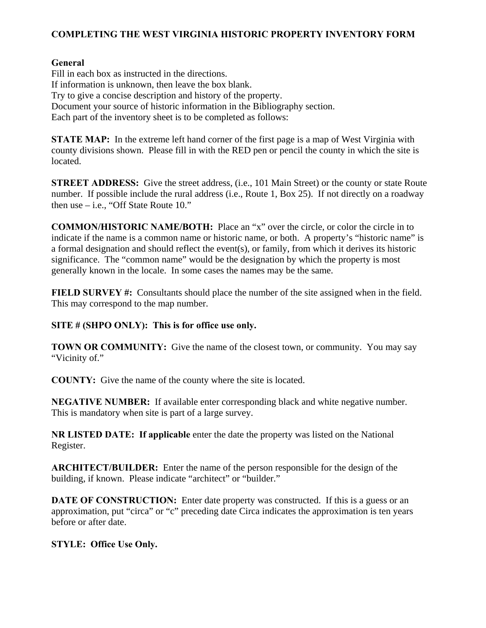## **COMPLETING THE WEST VIRGINIA HISTORIC PROPERTY INVENTORY FORM**

## **General**

Fill in each box as instructed in the directions. If information is unknown, then leave the box blank. Try to give a concise description and history of the property. Document your source of historic information in the Bibliography section. Each part of the inventory sheet is to be completed as follows:

**STATE MAP:** In the extreme left hand corner of the first page is a map of West Virginia with county divisions shown. Please fill in with the RED pen or pencil the county in which the site is located.

**STREET ADDRESS:** Give the street address, (i.e., 101 Main Street) or the county or state Route number. If possible include the rural address (i.e., Route 1, Box 25). If not directly on a roadway then use – i.e., "Off State Route 10."

**COMMON/HISTORIC NAME/BOTH:** Place an "x" over the circle, or color the circle in to indicate if the name is a common name or historic name, or both. A property's "historic name" is a formal designation and should reflect the event(s), or family, from which it derives its historic significance. The "common name" would be the designation by which the property is most generally known in the locale. In some cases the names may be the same.

**FIELD SURVEY #:** Consultants should place the number of the site assigned when in the field. This may correspond to the map number.

## **SITE # (SHPO ONLY): This is for office use only.**

**TOWN OR COMMUNITY:** Give the name of the closest town, or community. You may say "Vicinity of."

**COUNTY:** Give the name of the county where the site is located.

**NEGATIVE NUMBER:** If available enter corresponding black and white negative number. This is mandatory when site is part of a large survey.

**NR LISTED DATE: If applicable** enter the date the property was listed on the National Register.

**ARCHITECT/BUILDER:** Enter the name of the person responsible for the design of the building, if known. Please indicate "architect" or "builder."

**DATE OF CONSTRUCTION:** Enter date property was constructed. If this is a guess or an approximation, put "circa" or "c" preceding date Circa indicates the approximation is ten years before or after date.

# **STYLE: Office Use Only.**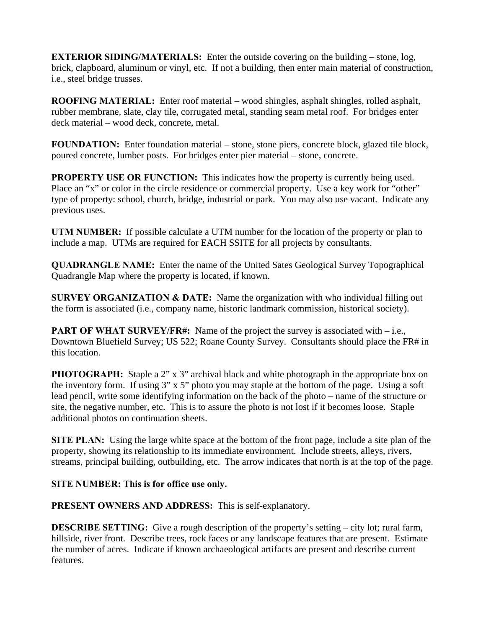**EXTERIOR SIDING/MATERIALS:** Enter the outside covering on the building – stone, log, brick, clapboard, aluminum or vinyl, etc. If not a building, then enter main material of construction, i.e., steel bridge trusses.

**ROOFING MATERIAL:** Enter roof material – wood shingles, asphalt shingles, rolled asphalt, rubber membrane, slate, clay tile, corrugated metal, standing seam metal roof. For bridges enter deck material – wood deck, concrete, metal.

**FOUNDATION:** Enter foundation material – stone, stone piers, concrete block, glazed tile block, poured concrete, lumber posts. For bridges enter pier material – stone, concrete.

**PROPERTY USE OR FUNCTION:** This indicates how the property is currently being used. Place an "x" or color in the circle residence or commercial property. Use a key work for "other" type of property: school, church, bridge, industrial or park. You may also use vacant. Indicate any previous uses.

**UTM NUMBER:** If possible calculate a UTM number for the location of the property or plan to include a map. UTMs are required for EACH SSITE for all projects by consultants.

**QUADRANGLE NAME:** Enter the name of the United Sates Geological Survey Topographical Quadrangle Map where the property is located, if known.

**SURVEY ORGANIZATION & DATE:** Name the organization with who individual filling out the form is associated (i.e., company name, historic landmark commission, historical society).

**PART OF WHAT SURVEY/FR#:** Name of the project the survey is associated with – i.e., Downtown Bluefield Survey; US 522; Roane County Survey. Consultants should place the FR# in this location.

**PHOTOGRAPH:** Staple a 2" x 3" archival black and white photograph in the appropriate box on the inventory form. If using 3" x 5" photo you may staple at the bottom of the page. Using a soft lead pencil, write some identifying information on the back of the photo – name of the structure or site, the negative number, etc. This is to assure the photo is not lost if it becomes loose. Staple additional photos on continuation sheets.

**SITE PLAN:** Using the large white space at the bottom of the front page, include a site plan of the property, showing its relationship to its immediate environment. Include streets, alleys, rivers, streams, principal building, outbuilding, etc. The arrow indicates that north is at the top of the page.

## **SITE NUMBER: This is for office use only.**

**PRESENT OWNERS AND ADDRESS:** This is self-explanatory.

**DESCRIBE SETTING:** Give a rough description of the property's setting – city lot; rural farm, hillside, river front. Describe trees, rock faces or any landscape features that are present. Estimate the number of acres. Indicate if known archaeological artifacts are present and describe current features.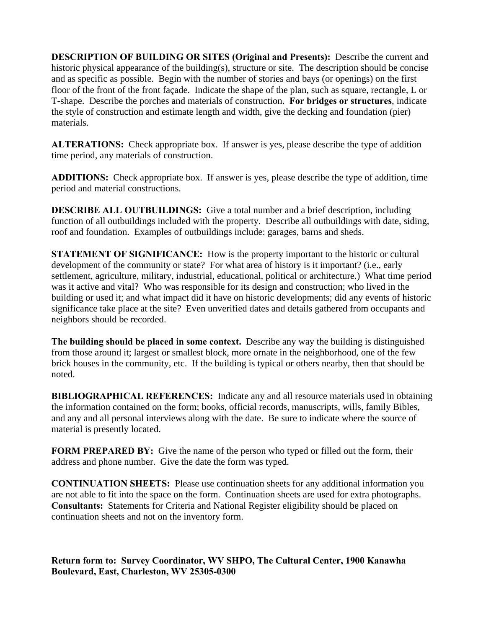**DESCRIPTION OF BUILDING OR SITES (Original and Presents):** Describe the current and historic physical appearance of the building(s), structure or site. The description should be concise and as specific as possible. Begin with the number of stories and bays (or openings) on the first floor of the front of the front façade. Indicate the shape of the plan, such as square, rectangle, L or T-shape. Describe the porches and materials of construction. **For bridges or structures**, indicate the style of construction and estimate length and width, give the decking and foundation (pier) materials.

**ALTERATIONS:** Check appropriate box. If answer is yes, please describe the type of addition time period, any materials of construction.

**ADDITIONS:** Check appropriate box. If answer is yes, please describe the type of addition, time period and material constructions.

**DESCRIBE ALL OUTBUILDINGS:** Give a total number and a brief description, including function of all outbuildings included with the property. Describe all outbuildings with date, siding, roof and foundation. Examples of outbuildings include: garages, barns and sheds.

**STATEMENT OF SIGNIFICANCE:** How is the property important to the historic or cultural development of the community or state? For what area of history is it important? (i.e., early settlement, agriculture, military, industrial, educational, political or architecture.) What time period was it active and vital? Who was responsible for its design and construction; who lived in the building or used it; and what impact did it have on historic developments; did any events of historic significance take place at the site? Even unverified dates and details gathered from occupants and neighbors should be recorded.

**The building should be placed in some context.** Describe any way the building is distinguished from those around it; largest or smallest block, more ornate in the neighborhood, one of the few brick houses in the community, etc. If the building is typical or others nearby, then that should be noted.

**BIBLIOGRAPHICAL REFERENCES:** Indicate any and all resource materials used in obtaining the information contained on the form; books, official records, manuscripts, wills, family Bibles, and any and all personal interviews along with the date. Be sure to indicate where the source of material is presently located.

**FORM PREPARED BY:** Give the name of the person who typed or filled out the form, their address and phone number. Give the date the form was typed.

**CONTINUATION SHEETS:** Please use continuation sheets for any additional information you are not able to fit into the space on the form. Continuation sheets are used for extra photographs. **Consultants:** Statements for Criteria and National Register eligibility should be placed on continuation sheets and not on the inventory form.

**Return form to: Survey Coordinator, WV SHPO, The Cultural Center, 1900 Kanawha Boulevard, East, Charleston, WV 25305-0300**